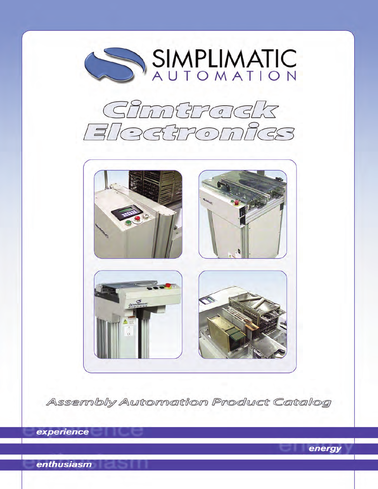

Assembly Automation Product Catalog

energy

experience

**enthusiasm**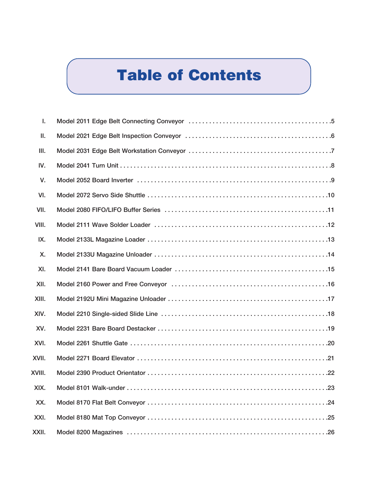# **Table of Contents**

| ı.     |  |
|--------|--|
| Ш.     |  |
| Ш.     |  |
| IV.    |  |
| V.     |  |
| VI.    |  |
| VII.   |  |
| VIII.  |  |
| IX.    |  |
| X.     |  |
| XI.    |  |
| XII.   |  |
| XIII.  |  |
| XIV.   |  |
| XV.    |  |
| XVI.   |  |
| XVII.  |  |
| XVIII. |  |
| XIX.   |  |
| XX.    |  |
| XXI.   |  |
| XXII.  |  |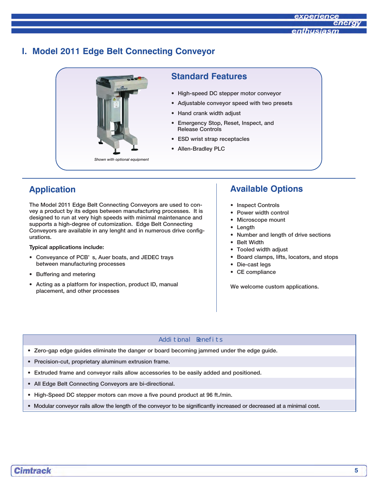#### **I. Model 2011 Edge Belt Connecting Conveyor**



#### **Standard Features**

- High-speed DC stepper motor conveyor
- Adjustable conveyor speed with two presets
- Hand crank width adjust
- Emergency Stop, Reset, Inspect, and Release Controls
- ESD wrist strap receptacles
- Allen-Bradley PLC

# **Application**

The Model 2011 Edge Belt Connecting Conveyors are used to convey a product by its edges between manufacturing processes. It is designed to run at very high speeds with minimal maintenance and supports a high-degree of cutomization. Edge Belt Connecting Conveyors are available in any lenght and in numerous drive configurations.

#### **Typical applications include:**

- Conveyance of PCB' s, Auer boats, and JEDEC trays between manufacturing processes
- Buffering and metering
- Acting as a platform for inspection, product ID, manual placement, and other processes

# **Available Options**

- Inspect Controls
- Power width control
- Microscope mount
- Length
- Number and length of drive sections
- Belt Width
- Tooled width adjust
- Board clamps, lifts, locators, and stops
- Die-cast legs
- CE compliance

We welcome custom applications.

- Zero-gap edge guides eliminate the danger or board becoming jammed under the edge guide.
- Precision-cut, proprietary aluminum extrusion frame.
- Extruded frame and conveyor rails allow accessories to be easily added and positioned.
- All Edge Belt Connecting Conveyors are bi-directional.
- High-Speed DC stepper motors can move a five pound product at 96 ft./min.
- Modular conveyor rails allow the length of the conveyor to be significantly increased or decreased at a minimal cost.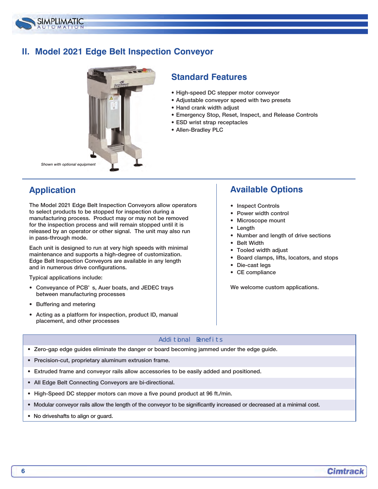

### **II. Model 2021 Edge Belt Inspection Conveyor**



#### **Standard Features**

- High-speed DC stepper motor conveyor
- Adjustable conveyor speed with two presets
- Hand crank width adjust
- Emergency Stop, Reset, Inspect, and Release Controls
- ESD wrist strap receptacles
- Allen-Bradley PLC

*Shown with optional equipment*

# **Application**

The Model 2021 Edge Belt Inspection Conveyors allow operators to select products to be stopped for inspection during a manufacturing process. Product may or may not be removed for the inspection process and will remain stopped until it is released by an operator or other signal. The unit may also run in pass-through mode.

Each unit is designed to run at very high speeds with minimal maintenance and supports a high-degree of customization. Edge Belt Inspection Conveyors are available in any length and in numerous drive configurations.

Typical applications include:

- Conveyance of PCB' s, Auer boats, and JEDEC trays between manufacturing processes
- Buffering and metering
- Acting as a platform for inspection, product ID, manual placement, and other processes

# **Available Options**

- Inspect Controls
- Power width control
- Microscope mount
- Length
- Number and length of drive sections
- Belt Width
- Tooled width adjust
- Board clamps, lifts, locators, and stops
- Die-cast legs
- CE compliance

We welcome custom applications.

- Zero-gap edge guides eliminate the danger or board becoming jammed under the edge guide.
- Precision-cut, proprietary aluminum extrusion frame.
- Extruded frame and conveyor rails allow accessories to be easily added and positioned.
- All Edge Belt Connecting Conveyors are bi-directional.
- High-Speed DC stepper motors can move a five pound product at 96 ft./min.
- Modular conveyor rails allow the length of the conveyor to be significantly increased or decreased at a minimal cost.
- No driveshafts to align or guard.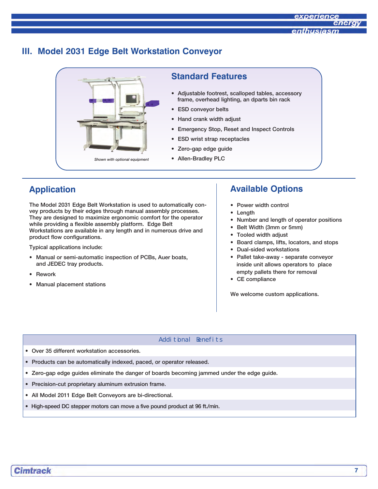#### **III. Model 2031 Edge Belt Workstation Conveyor**



#### **Standard Features**

- Adjustable footrest, scalloped tables, accessory frame, overhead lighting, an dparts bin rack
- ESD conveyor belts
- Hand crank width adjust
- Emergency Stop, Reset and Inspect Controls
- ESD wrist strap receptacles
- Zero-gap edge guide
- 

### **Application**

The Model 2031 Edge Belt Workstation is used to automatically convey products by their edges through manual assembly processes. They are designed to maximize ergonomic comfort for the operator while providing a flexible assembly platform. Edge Belt Workstations are available in any length and in numerous drive and product flow configurations.

Typical applications include:

- Manual or semi-automatic inspection of PCBs, Auer boats, and JEDEC tray products.
- **Rework**
- Manual placement stations

### **Available Options**

- Power width control
- Length
- Number and length of operator positions
- Belt Width (3mm or 5mm)
- Tooled width adjust
- Board clamps, lifts, locators, and stops
- Dual-sided workstations
- Pallet take-away separate conveyor inside unit allows operators to place empty pallets there for removal
- CE compliance

We welcome custom applications.

- Over 35 different workstation accessories.
- Products can be automatically indexed, paced, or operator released.
- Zero-gap edge guides eliminate the danger of boards becoming jammed under the edge guide.
- Precision-cut proprietary aluminum extrusion frame.
- All Model 2011 Edge Belt Conveyors are bi-directional.
- High-speed DC stepper motors can move a five pound product at 96 ft./min.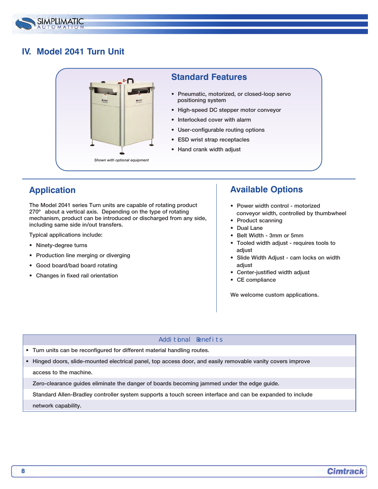

# **IV. Model 2041 Turn Unit**



#### **Standard Features**

- Pneumatic, motorized, or closed-loop servo positioning system
- High-speed DC stepper motor conveyor
- Interlocked cover with alarm
- User-configurable routing options
- ESD wrist strap receptacles
- Hand crank width adjust

# **Application**

The Model 2041 series Turn units are capable of rotating product 270° about a vertical axis. Depending on the type of rotating mechanism, product can be introduced or discharged from any side, including same side in/out transfers.

Typical applications include:

- Ninety-degree turns
- Production line merging or diverging
- Good board/bad board rotating
- Changes in fixed rail orientation

### **Available Options**

- Power width control motorized conveyor width, controlled by thumbwheel
- Product scanning
- Dual Lane
- Belt Width 3mm or 5mm
- Tooled width adjust requires tools to adjust
- Slide Width Adjust cam locks on width adjust
- Center-justified width adjust
- CE compliance

We welcome custom applications.

#### Additional Benefits

- Turn units can be reconfigured for different material handling routes.
- Hinged doors, slide-mounted electrical panel, top access door, and easily removable vanity covers improve

access to the machine.

Zero-clearance guides eliminate the danger of boards becoming jammed under the edge guide.

Standard Allen-Bradley controller system supports a touch screen interface and can be expanded to include network capability.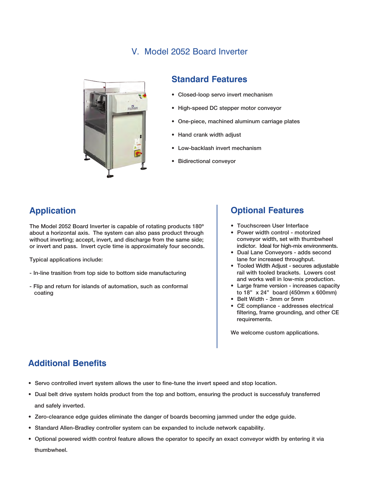### V. Model 2052 Board Inverter



#### **Standard Features**

- Closed-loop servo invert mechanism
- High-speed DC stepper motor conveyor
- One-piece, machined aluminum carriage plates
- Hand crank width adjust
- Low-backlash invert mechanism
- Bidirectional conveyor

# **Application**

The Model 2052 Board Inverter is capable of rotating products 180º about a horizontal axis. The system can also pass product through without inverting; accept, invert, and discharge from the same side; or invert and pass. Invert cycle time is approximately four seconds.

Typical applications include:

- In-line trasition from top side to bottom side manufacturing
- Flip and return for islands of automation, such as conformal coating

#### **Optional Features**

- Touchscreen User Interface
- Power width control motorized conveyor width, set with thumbwheel indictor. Ideal for high-mix environments.
- Dual Lane Conveyors adds second lane for increased throughput.
- Tooled Width Adjust secures adjustable rail with tooled brackets. Lowers cost and works well in low-mix production.
- Large frame version increases capacity to 18" x 24" board (450mm x 600mm)
- Belt Width 3mm or 5mm
- CE compliance addresses electrical filtering, frame grounding, and other CE requirements.

We welcome custom applications.

- Servo controlled invert system allows the user to fine-tune the invert speed and stop location.
- Dual belt drive system holds product from the top and bottom, ensuring the product is successfuly transferred and safely inverted.
- Zero-clearance edge guides eliminate the danger of boards becoming jammed under the edge guide.
- Standard Allen-Bradley controller system can be expanded to include network capability.
- Optional powered width control feature allows the operator to specify an exact conveyor width by entering it via thumbwheel.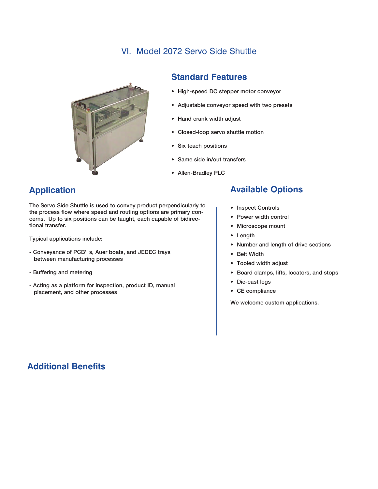### VI. Model 2072 Servo Side Shuttle



#### **Standard Features**

- High-speed DC stepper motor conveyor
- Adjustable conveyor speed with two presets
- Hand crank width adjust
- Closed-loop servo shuttle motion
- Six teach positions
- Same side in/out transfers
- Allen-Bradley PLC

# **Application**

The Servo Side Shuttle is used to convey product perpendicularly to the process flow where speed and routing options are primary concerns. Up to six positions can be taught, each capable of bidirectional transfer.

Typical applications include:

- Conveyance of PCB' s, Auer boats, and JEDEC trays between manufacturing processes
- Buffering and metering
- Acting as a platform for inspection, product ID, manual placement, and other processes

# **Available Options**

- Inspect Controls
- Power width control
- Microscope mount
- Length
- Number and length of drive sections
- Belt Width
- Tooled width adjust
- Board clamps, lifts, locators, and stops
- Die-cast legs
- CE compliance

We welcome custom applications.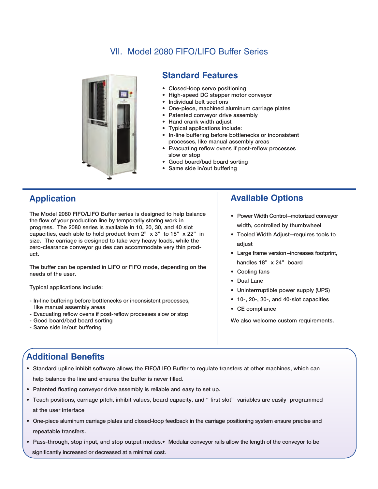# VII. Model 2080 FIFO/LIFO Buffer Series



#### **Standard Features**

- Closed-loop servo positioning
- High-speed DC stepper motor conveyor
- Individual belt sections
- One-piece, machined aluminum carriage plates
- Patented conveyor drive assembly
- Hand crank width adjust
- Typical applications include:
- In-line buffering before bottlenecks or inconsistent processes, like manual assembly areas
- Evacuating reflow ovens if post-reflow processes slow or stop
- Good board/bad board sorting
- Same side in/out buffering

#### **Application**

The Model 2080 FIFO/LIFO Buffer series is designed to help balance the flow of your production line by temporarily storing work in progress. The 2080 series is available in 10, 20, 30, and 40 slot capacities, each able to hold product from 2" x 3" to 18" x 22" in size. The carriage is designed to take very heavy loads, while the zero-clearance conveyor guides can accommodate very thin product.

The buffer can be operated in LIFO or FIFO mode, depending on the needs of the user.

Typical applications include:

- In-line buffering before bottlenecks or inconsistent processes, like manual assembly areas
- Evacuating reflow ovens if post-reflow processes slow or stop
- Good board/bad board sorting
- Same side in/out buffering

# **Available Options**

- Power Width Control—motorized conveyor width, controlled by thumbwheel
- Tooled Width Adjust—requires tools to adjust
- Large frame version—increases footprint, handles 18" x 24" board
- Cooling fans
- Dual Lane
- Uninterrruptible power supply (UPS)
- 10-, 20-, 30-, and 40-slot capacities
- CE compliance

We also welcome custom requirements.

- Standard upline inhibit software allows the FIFO/LIFO Buffer to regulate transfers at other machines, which can help balance the line and ensures the buffer is never filled.
- Patented floating conveyor drive assembly is reliable and easy to set up.
- Teach positions, carriage pitch, inhibit values, board capacity, and " first slot" variables are easily programmed at the user interface
- One-piece aluminum carriage plates and closed-loop feedback in the carriage positioning system ensure precise and repeatable transfers.
- Pass-through, stop input, and stop output modes.• Modular conveyor rails allow the length of the conveyor to be significantly increased or decreased at a minimal cost.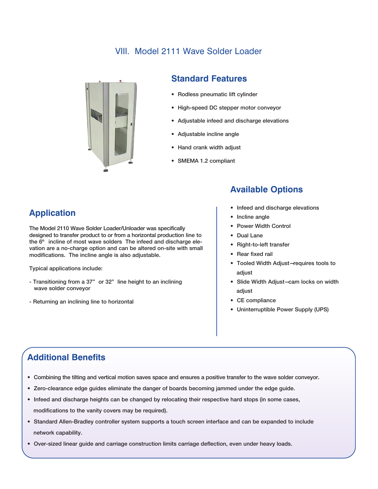### VIII. Model 2111 Wave Solder Loader



#### **Standard Features**

- Rodless pneumatic lift cylinder
- High-speed DC stepper motor conveyor
- Adjustable infeed and discharge elevations
- Adjustable incline angle
- Hand crank width adjust
- SMEMA 1.2 compliant

# **Application**

The Model 2110 Wave Solder Loader/Unloader was specifically designed to transfer product to or from a horizontal production line to the 6º incline of most wave solders The infeed and discharge elevation are a no-charge option and can be altered on-site with small modifications. The incline angle is also adjustable.

Typical applications include:

- Transitioning from a 37" or 32" line height to an inclining wave solder conveyor
- Returning an inclining line to horizontal

# **Available Options**

- Infeed and discharge elevations
- Incline angle
- Power Width Control
- Dual Lane
- Right-to-left transfer
- Rear fixed rail
- Tooled Width Adjust—requires tools to adjust
- Slide Width Adjust—cam locks on width adjust
- CE compliance
- Uninterruptible Power Supply (UPS)

- Combining the tilting and vertical motion saves space and ensures a positive transfer to the wave solder conveyor.
- Zero-clearance edge guides eliminate the danger of boards becoming jammed under the edge guide.
- Infeed and discharge heights can be changed by relocating their respective hard stops (in some cases, modifications to the vanity covers may be required).
- Standard Allen-Bradley controller system supports a touch screen interface and can be expanded to include network capability.
- Over-sized linear guide and carriage construction limits carriage deflection, even under heavy loads.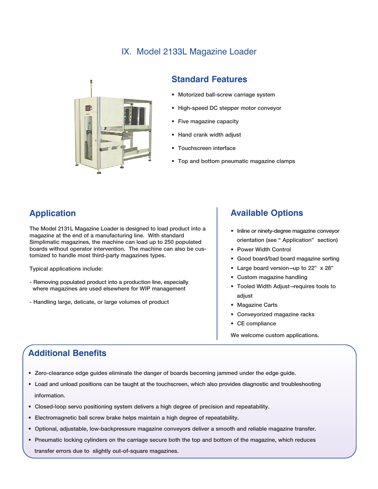# IX. Model 2133L Magazine Loader



#### **Standard Features**

- Motorized ball-screw carriage system
- High-speed DC stepper motor conveyor
- Five magazine capacity
- Hand crank width adjust
- Touchscreen interface
- Top and bottom pneumatic magazine clamps

# **Application**

The Model 2131L Magazine Loader is designed to load product into a magazine at the end of a manufacturing line. With standard Simplimatic magazines, the machine can load up to 250 populated boards without operator intervention. The machine can also be customized to handle most third-party magazines types.

Typical applications include:

- Removing populated product into a production line, especially where magazines are used elsewhere for WIP management
- Handling large, delicate, or large volumes of product

#### **Available Options**

- Inline or ninety-degree magazine conveyor orientation (see " Application" section)
- Power Width Control
- Good board/bad board magazine sorting
- Large board version—up to 22" x 28"
- Custom magazine handling
- Tooled Width Adjust—requires tools to adjust
- Magazine Carts
- Conveyorized magazine racks
- CE compliance
- We welcome custom applications.

- Zero-clearance edge guides eliminate the danger of boards becoming jammed under the edge guide.
- Load and unload positions can be taught at the touchscreen, which also provides diagnostic and troubleshooting information.
- Closed-loop servo positioning system delivers a high degree of precision and repeatability.
- Electromagnetic ball screw brake helps maintain a high degree of repeatability.
- Optional, adjustable, low-backpressure magazine conveyors deliver a smooth and reliable magazine transfer.
- Pneumatic locking cylinders on the carriage secure both the top and bottom of the magazine, which reduces transfer errors due to slightly out-of-square magazines.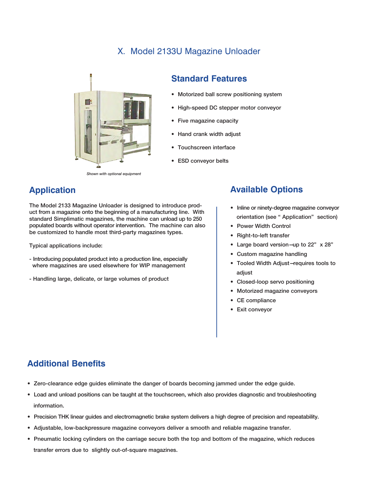#### X. Model 2133U Magazine Unloader



#### **Standard Features**

- Motorized ball screw positioning system
- High-speed DC stepper motor conveyor
- Five magazine capacity
- Hand crank width adjust
- Touchscreen interface
- ESD conveyor belts

# **Application**

The Model 2133 Magazine Unloader is designed to introduce product from a magazine onto the beginning of a manufacturing line. With standard Simplimatic magazines, the machine can unload up to 250 populated boards without operator intervention. The machine can also be customized to handle most third-party magazines types.

Typical applications include:

- Introducing populated product into a production line, especially where magazines are used elsewhere for WIP management
- Handling large, delicate, or large volumes of product

# **Available Options**

- Inline or ninety-degree magazine conveyor orientation (see " Application" section)
- Power Width Control
- Right-to-left transfer
- Large board version—up to 22" x 28"
- Custom magazine handling
- Tooled Width Adjust—requires tools to adjust
- Closed-loop servo positioning
- Motorized magazine conveyors
- CE compliance
- Exit conveyor

- Zero-clearance edge guides eliminate the danger of boards becoming jammed under the edge guide.
- Load and unload positions can be taught at the touchscreen, which also provides diagnostic and troubleshooting information.
- Precision THK linear guides and electromagnetic brake system delivers a high degree of precision and repeatability.
- Adjustable, low-backpressure magazine conveyors deliver a smooth and reliable magazine transfer.
- Pneumatic locking cylinders on the carriage secure both the top and bottom of the magazine, which reduces transfer errors due to slightly out-of-square magazines.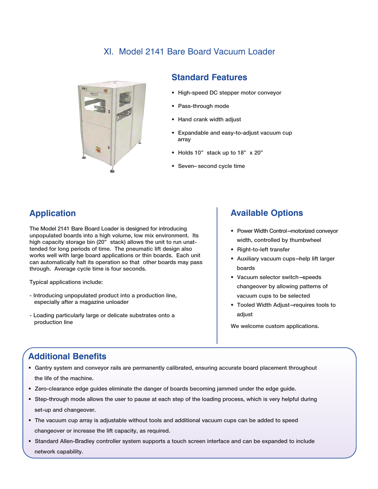### XI. Model 2141 Bare Board Vacuum Loader



#### **Standard Features**

- High-speed DC stepper motor conveyor
- Pass-through mode
- Hand crank width adjust
- Expandable and easy-to-adjust vacuum cup array
- Holds 10" stack up to 18" x 20"
- Seven– second cycle time

# **Application**

The Model 2141 Bare Board Loader is designed for introducing unpopulated boards into a high volume, low mix environment. Its high capacity storage bin (20" stack) allows the unit to run unattended for long periods of time. The pneumatic lift design also works well with large board applications or thin boards. Each unit can automatically halt its operation so that other boards may pass through. Average cycle time is four seconds.

Typical applications include:

- Introducing unpopulated product into a production line, especially after a magazine unloader
- Loading particularly large or delicate substrates onto a production line

#### **Available Options**

- Power Width Control—motorized conveyor width, controlled by thumbwheel
- Right-to-left transfer
- Auxiliary vacuum cups—help lift larger boards
- Vacuum selector switch—speeds changeover by allowing patterns of vacuum cups to be selected
- Tooled Width Adjust—requires tools to adjust

We welcome custom applications.

- Gantry system and conveyor rails are permanently calibrated, ensuring accurate board placement throughout the life of the machine.
- Zero-clearance edge guides eliminate the danger of boards becoming jammed under the edge guide.
- Step-through mode allows the user to pause at each step of the loading process, which is very helpful during set-up and changeover.
- The vacuum cup array is adjustable without tools and additional vacuum cups can be added to speed changeover or increase the lift capacity, as required.
- Standard Allen-Bradley controller system supports a touch screen interface and can be expanded to include network capability.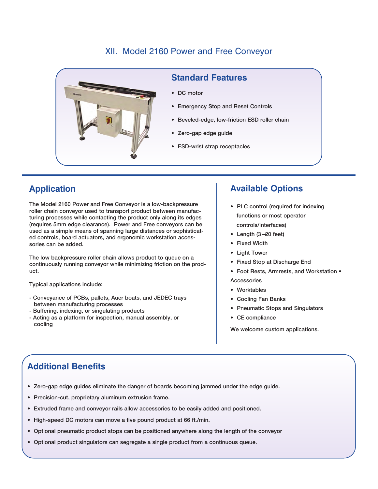### XII. Model 2160 Power and Free Conveyor



#### **Standard Features**

- DC motor
- Emergency Stop and Reset Controls
- Beveled-edge, low-friction ESD roller chain
- Zero-gap edge guide
- **ESD-wrist strap receptacles**

# **Application**

The Model 2160 Power and Free Conveyor is a low-backpressure roller chain conveyor used to transport product between manufacturing processes while contacting the product only along its edges (requires 5mm edge clearance). Power and Free conveyors can be used as a simple means of spanning large distances or sophisticated controls, board actuators, and ergonomic workstation accessories can be added.

The low backpressure roller chain allows product to queue on a continuously running conveyor while minimizing friction on the product.

Typical applications include:

- Conveyance of PCBs, pallets, Auer boats, and JEDEC trays between manufacturing processes
- Buffering, indexing, or singulating products
- Acting as a platform for inspection, manual assembly, or cooling

# **Available Options**

- PLC control (required for indexing functions or most operator controls/interfaces)
- Length (3-20 feet)
- Fixed Width
- Light Tower
- Fixed Stop at Discharge End
- Foot Rests, Armrests, and Workstation **Accessories**
- Worktables
- Cooling Fan Banks
- Pneumatic Stops and Singulators
- CE compliance

We welcome custom applications.

- Zero-gap edge guides eliminate the danger of boards becoming jammed under the edge guide.
- Precision-cut, proprietary aluminum extrusion frame.
- Extruded frame and conveyor rails allow accessories to be easily added and positioned.
- High-speed DC motors can move a five pound product at 66 ft./min.
- Optional pneumatic product stops can be positioned anywhere along the length of the conveyor
- Optional product singulators can segregate a single product from a continuous queue.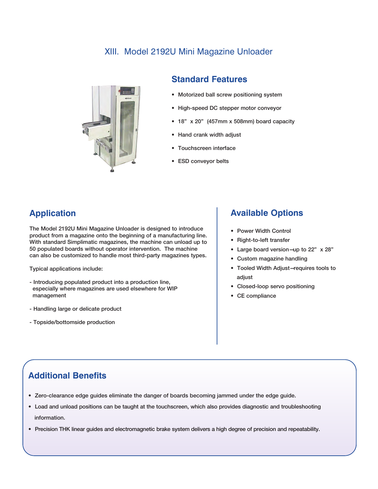# XIII. Model 2192U Mini Magazine Unloader



#### **Standard Features**

- Motorized ball screw positioning system
- High-speed DC stepper motor conveyor
- 18" x 20" (457mm x 508mm) board capacity
- Hand crank width adjust
- Touchscreen interface
- ESD conveyor belts

### **Application**

The Model 2192U Mini Magazine Unloader is designed to introduce product from a magazine onto the beginning of a manufacturing line. With standard Simplimatic magazines, the machine can unload up to 50 populated boards without operator intervention. The machine can also be customized to handle most third-party magazines types.

Typical applications include:

- Introducing populated product into a production line, especially where magazines are used elsewhere for WIP management
- Handling large or delicate product
- Topside/bottomside production

#### **Available Options**

- Power Width Control
- Right-to-left transfer
- Large board version—up to 22" x 28"
- Custom magazine handling
- Tooled Width Adjust—requires tools to adjust
- Closed-loop servo positioning
- CE compliance

- Zero-clearance edge guides eliminate the danger of boards becoming jammed under the edge guide.
- Load and unload positions can be taught at the touchscreen, which also provides diagnostic and troubleshooting information.
- Precision THK linear guides and electromagnetic brake system delivers a high degree of precision and repeatability.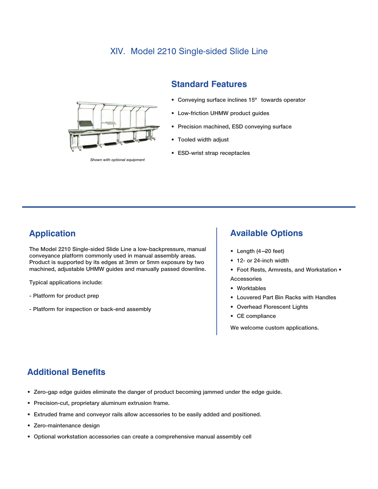#### XIV. Model 2210 Single-sided Slide Line



*Shown with optional equipment*

#### **Standard Features**

- Conveying surface inclines 15º towards operator
- Low-friction UHMW product guides
- Precision machined, ESD conveying surface
- Tooled width adjust
- ESD-wrist strap receptacles

#### **Application**

The Model 2210 Single-sided Slide Line a low-backpressure, manual conveyance platform commonly used in manual assembly areas. Product is supported by its edges at 3mm or 5mm exposure by two machined, adjustable UHMW guides and manually passed downline.

Typical applications include:

- Platform for product prep
- Platform for inspection or back-end assembly

#### **Available Options**

- Length (4—20 feet)
- 12- or 24-inch width
- Foot Rests, Armrests, and Workstation Accessories
- Worktables
- Louvered Part Bin Racks with Handles
- Overhead Florescent Lights
- CE compliance

We welcome custom applications.

- Zero-gap edge guides eliminate the danger of product becoming jammed under the edge guide.
- Precision-cut, proprietary aluminum extrusion frame.
- Extruded frame and conveyor rails allow accessories to be easily added and positioned.
- Zero-maintenance design
- Optional workstation accessories can create a comprehensive manual assembly cell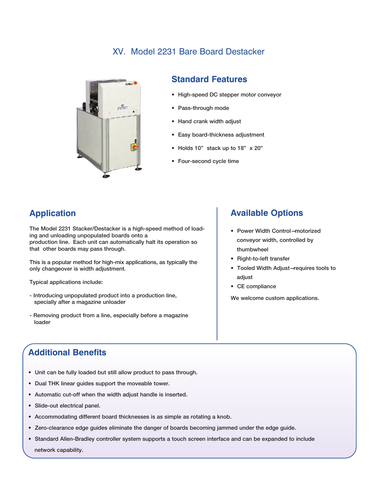# XV. Model 2231 Bare Board Destacker



#### **Standard Features**

- High-speed DC stepper motor conveyor
- Pass-through mode
- Hand crank width adjust
- Easy board-thickness adjustment
- Holds 10" stack up to 18" x 20"
- Four-second cycle time

# **Application**

The Model 2231 Stacker/Destacker is a high-speed method of loading and unloading unpopulated boards onto a production line. Each unit can automatically halt its operation so that other boards may pass through.

This is a popular method for high-mix applications, as typically the only changeover is width adjustment.

Typical applications include:

- Introducing unpopulated product into a production line, specially after a magazine unloader
- Removing product from a line, especially before a magazine loader

# **Available Options**

- Power Width Control—motorized conveyor width, controlled by thumbwheel
- Right-to-left transfer
- Tooled Width Adjust—requires tools to adjust
- CE compliance

We welcome custom applications.

- Unit can be fully loaded but still allow product to pass through.
- Dual THK linear guides support the moveable tower.
- Automatic cut-off when the width adjust handle is inserted.
- Slide-out electrical panel.
- Accommodating different board thicknesses is as simple as rotating a knob.
- Zero-clearance edge guides eliminate the danger of boards becoming jammed under the edge guide.
- Standard Allen-Bradley controller system supports a touch screen interface and can be expanded to include network capability.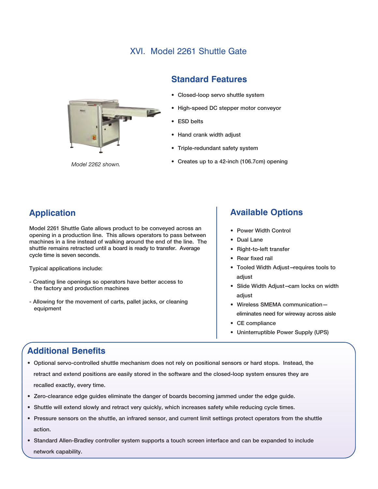## XVI. Model 2261 Shuttle Gate





- Closed-loop servo shuttle system
- High-speed DC stepper motor conveyor
- ESD belts
- Hand crank width adjust
- Triple-redundant safety system
- Creates up to a 42-inch (106.7cm) opening *Model 2262 shown.*

# **Application**

Model 2261 Shuttle Gate allows product to be conveyed across an opening in a production line. This allows operators to pass between machines in a line instead of walking around the end of the line. The shuttle remains retracted until a board is ready to transfer. Average cycle time is seven seconds.

Typical applications include:

- Creating line openings so operators have better access to the factory and production machines
- Allowing for the movement of carts, pallet jacks, or cleaning equipment

#### **Available Options**

- Power Width Control
- Dual Lane
- Right-to-left transfer
- Rear fixed rail
- Tooled Width Adjust—requires tools to adjust
- Slide Width Adjust—cam locks on width adjust
- Wireless SMEMA communication eliminates need for wireway across aisle
- CE compliance
- Uninterruptible Power Supply (UPS)

- Optional servo-controlled shuttle mechanism does not rely on positional sensors or hard stops. Instead, the retract and extend positions are easily stored in the software and the closed-loop system ensures they are recalled exactly, every time.
- Zero-clearance edge guides eliminate the danger of boards becoming jammed under the edge guide.
- Shuttle will extend slowly and retract very quickly, which increases safety while reducing cycle times.
- Pressure sensors on the shuttle, an infrared sensor, and current limit settings protect operators from the shuttle action.
- Standard Allen-Bradley controller system supports a touch screen interface and can be expanded to include network capability.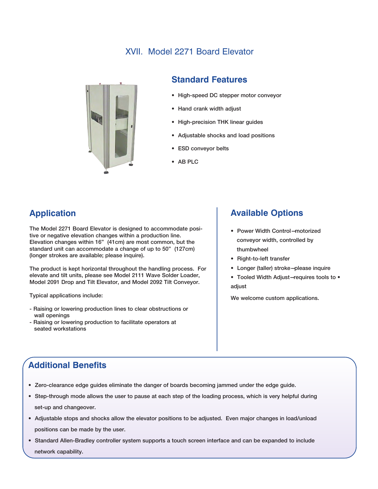# XVII. Model 2271 Board Elevator



#### **Standard Features**

- High-speed DC stepper motor conveyor
- Hand crank width adjust
- High-precision THK linear guides
- Adjustable shocks and load positions
- ESD conveyor belts
- AB PLC

# **Application**

The Model 2271 Board Elevator is designed to accommodate positive or negative elevation changes within a production line. Elevation changes within 16" (41cm) are most common, but the standard unit can accommodate a change of up to 50" (127cm) (longer strokes are available; please inquire).

The product is kept horizontal throughout the handling process. For elevate and tilt units, please see Model 2111 Wave Solder Loader, Model 2091 Drop and Tilt Elevator, and Model 2092 Tilt Conveyor.

Typical applications include:

- Raising or lowering production lines to clear obstructions or wall openings
- Raising or lowering production to facilitate operators at seated workstations

#### **Available Options**

- Power Width Control—motorized conveyor width, controlled by thumbwheel
- Right-to-left transfer
- Longer (taller) stroke—please inquire
- Tooled Width Adjust—requires tools to adjust

We welcome custom applications.

- Zero-clearance edge guides eliminate the danger of boards becoming jammed under the edge guide.
- Step-through mode allows the user to pause at each step of the loading process, which is very helpful during set-up and changeover.
- Adjustable stops and shocks allow the elevator positions to be adjusted. Even major changes in load/unload positions can be made by the user.
- Standard Allen-Bradley controller system supports a touch screen interface and can be expanded to include network capability.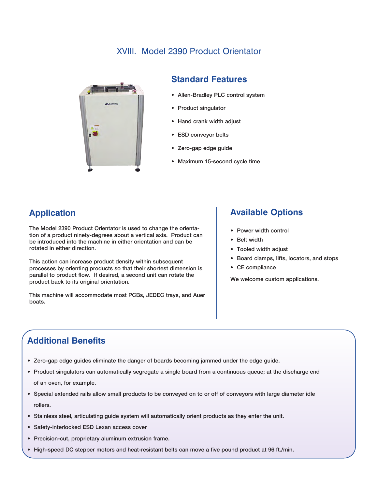#### XVIII. Model 2390 Product Orientator



#### **Standard Features**

- Allen-Bradley PLC control system
- Product singulator
- Hand crank width adjust
- ESD conveyor belts
- Zero-gap edge guide
- Maximum 15-second cycle time

### **Application**

The Model 2390 Product Orientator is used to change the orientation of a product ninety-degrees about a vertical axis. Product can be introduced into the machine in either orientation and can be rotated in either direction.

This action can increase product density within subsequent processes by orienting products so that their shortest dimension is parallel to product flow. If desired, a second unit can rotate the product back to its original orientation.

This machine will accommodate most PCBs, JEDEC trays, and Auer boats.

#### **Available Options**

- Power width control
- Belt width
- Tooled width adjust
- Board clamps, lifts, locators, and stops
- CE compliance

We welcome custom applications.

- Zero-gap edge guides eliminate the danger of boards becoming jammed under the edge guide.
- Product singulators can automatically segregate a single board from a continuous queue; at the discharge end of an oven, for example.
- Special extended rails allow small products to be conveyed on to or off of conveyors with large diameter idle rollers.
- Stainless steel, articulating guide system will automatically orient products as they enter the unit.
- Safety-interlocked ESD Lexan access cover
- Precision-cut, proprietary aluminum extrusion frame.
- High-speed DC stepper motors and heat-resistant belts can move a five pound product at 96 ft./min.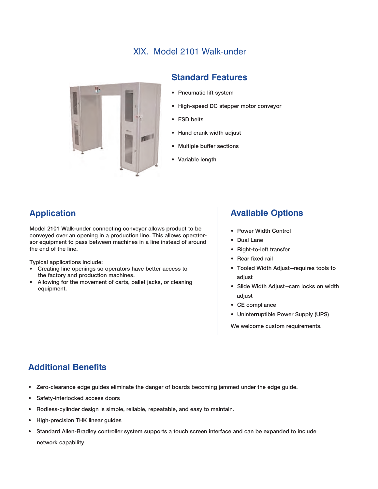# XIX. Model 2101 Walk-under



#### **Standard Features**

- Pneumatic lift system
- High-speed DC stepper motor conveyor
- ESD belts
- Hand crank width adjust
- Multiple buffer sections
- Variable length

# **Application**

Model 2101 Walk-under connecting conveyor allows product to be conveyed over an opening in a production line. This allows operatorsor equipment to pass between machines in a line instead of around the end of the line.

Typical applications include:

- Creating line openings so operators have better access to the factory and production machines.
- Allowing for the movement of carts, pallet jacks, or cleaning equipment.

#### **Available Options**

- Power Width Control
- Dual Lane
- Right-to-left transfer
- Rear fixed rail
- Tooled Width Adjust—requires tools to adjust
- Slide Width Adjust—cam locks on width adjust
- CE compliance
- Uninterruptible Power Supply (UPS)

We welcome custom requirements.

- Zero-clearance edge guides eliminate the danger of boards becoming jammed under the edge guide.
- Safety-interlocked access doors
- Rodless-cylinder design is simple, reliable, repeatable, and easy to maintain.
- High-precision THK linear guides
- Standard Allen-Bradley controller system supports a touch screen interface and can be expanded to include network capability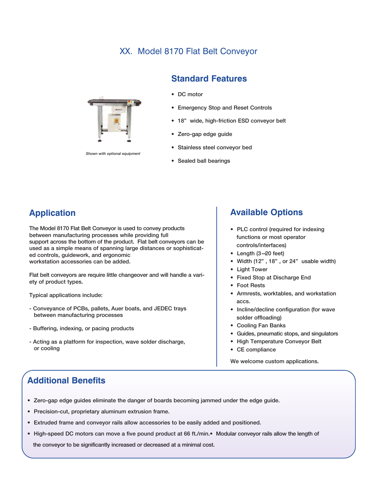# XX. Model 8170 Flat Belt Conveyor



*Shown with optional equipment*

#### **Standard Features**

- DC motor
- Emergency Stop and Reset Controls
- 18" wide, high-friction ESD conveyor belt
- Zero-gap edge guide
- Stainless steel conveyor bed
- Sealed ball bearings

# **Application**

The Model 8170 Flat Belt Conveyor is used to convey products between manufacturing processes while providing full support across the bottom of the product. Flat belt conveyors can be used as a simple means of spanning large distances or sophisticated controls, guidework, and ergonomic workstation accessories can be added.

Flat belt conveyors are require little changeover and will handle a variety of product types.

Typical applications include:

- Conveyance of PCBs, pallets, Auer boats, and JEDEC trays between manufacturing processes
- Buffering, indexing, or pacing products
- Acting as a platform for inspection, wave solder discharge, or cooling

#### **Available Options**

- PLC control (required for indexing functions or most operator controls/interfaces)
- Length (3—20 feet)
- Width (12" , 18" , or 24" usable width)
- Light Tower
- Fixed Stop at Discharge End
- Foot Rests
- Armrests, worktables, and workstation accs.
- Incline/decline configuration (for wave solder offloading)
- Cooling Fan Banks
- Guides, pneumatic stops, and singulators
- High Temperature Conveyor Belt
- CE compliance

We welcome custom applications.

- Zero-gap edge guides eliminate the danger of boards becoming jammed under the edge guide.
- Precision-cut, proprietary aluminum extrusion frame.
- Extruded frame and conveyor rails allow accessories to be easily added and positioned.
- High-speed DC motors can move a five pound product at 66 ft./min.• Modular conveyor rails allow the length of the conveyor to be significantly increased or decreased at a minimal cost.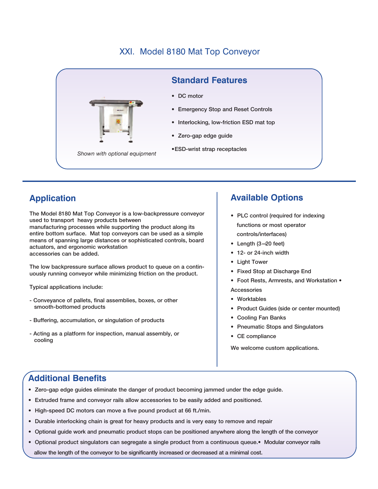# XXI. Model 8180 Mat Top Conveyor



# **Application**

The Model 8180 Mat Top Conveyor is a low-backpressure conveyor used to transport heavy products between manufacturing processes while supporting the product along its entire bottom surface. Mat top conveyors can be used as a simple means of spanning large distances or sophisticated controls, board actuators, and ergonomic workstation accessories can be added.

The low backpressure surface allows product to queue on a continuously running conveyor while minimizing friction on the product.

Typical applications include:

- Conveyance of pallets, final assemblies, boxes, or other smooth-bottomed products
- Buffering, accumulation, or singulation of products
- Acting as a platform for inspection, manual assembly, or cooling

### **Available Options**

- PLC control (required for indexing functions or most operator controls/interfaces)
- Length (3—20 feet)
- 12- or 24-inch width
- Light Tower
- Fixed Stop at Discharge End
- Foot Rests, Armrests, and Workstation •

Accessories

- Worktables
- Product Guides (side or center mounted)
- Cooling Fan Banks
- Pneumatic Stops and Singulators
- CE compliance

We welcome custom applications.

- Zero-gap edge guides eliminate the danger of product becoming jammed under the edge guide.
- Extruded frame and conveyor rails allow accessories to be easily added and positioned.
- High-speed DC motors can move a five pound product at 66 ft./min.
- Durable interlocking chain is great for heavy products and is very easy to remove and repair
- Optional guide work and pneumatic product stops can be positioned anywhere along the length of the conveyor
- Optional product singulators can segregate a single product from a continuous queue.• Modular conveyor rails allow the length of the conveyor to be significantly increased or decreased at a minimal cost.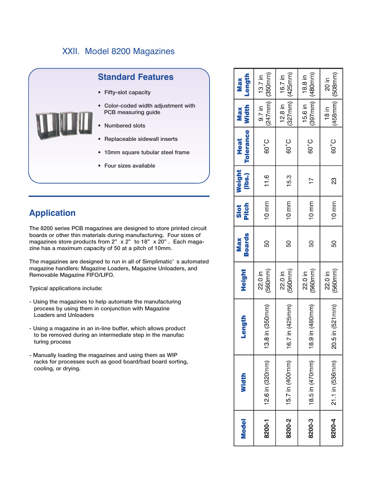### XXII. Model 8200 Magazines



# **Application**

The 8200 series PCB magazines are designed to store printed circuit boards or other thin materials during manufacturing. Four sizes of magazines store products from 2" x 2" to 18" x 20" . Each magazine has a maximum capacity of 50 at a pitch of 10mm.

The magazines are designed to run in all of Simplimatic' s automated magazine handlers: Magazine Loaders, Magazine Unloaders, and Removable Magazine FIFO/LIFO.

Typical applications include:

- Using the magazines to help automate the manufacturing process by using them in conjunction with Magazine Loaders and Unloaders
- Using a magazine in an in-line buffer, which allows product to be removed during an intermediate step in the manufac turing process
- Manually loading the magazines and using them as WIP racks for processes such as good board/bad board sorting, cooling, or drying.

| <b>Model</b> | Width           | Length           | Height             | <b>Boards</b><br><b>Max</b> | Pitch<br>Slot   | (lbs.)<br>Weight | <b>Tolerance</b><br>Heat | <b>Width</b><br><b>Max</b>         | Length<br><b>Max</b>                     |
|--------------|-----------------|------------------|--------------------|-----------------------------|-----------------|------------------|--------------------------|------------------------------------|------------------------------------------|
| 8200-1       | 12.6 in (320mm) | 13.8 in (350mm)  | (560mm)<br>22.0 in | 50                          | $10 \text{ mm}$ | 11.6             | 60°C                     | $9.7$ in $\vert$                   | $(247$ mm $)$ $(350$ mm $)$<br>$13.7$ in |
| 8200-2       | 15.7 in (400mm) | 16.7 in (425mm)  | (560mm)<br>22.0 in | 50                          | $10 \text{ mm}$ | 15.3             | 60°C                     | $(327$ mm) $(425$ mm)<br>$12.8$ in | 16.7 in                                  |
| 8200-3       | 18.5 in (470mm) | 18.9 in (480mm)  | (560mm)<br>22.0 in | 50                          | $10 \text{ mm}$ | 77               | 60°C                     | 15.6 in   18.8 in                  | $(397$ mm $)$ $(480$ mm $)$              |
| 8200-4       | 21.1 in (536mm) | 20.5 in (521 mm) | (560mm)<br>22.0 in | 50                          | $10 \text{ mm}$ | 23               | 60°C                     | $18$ in                            | $(458$ mm $)$ $(508$ mm $)$<br>20 in     |